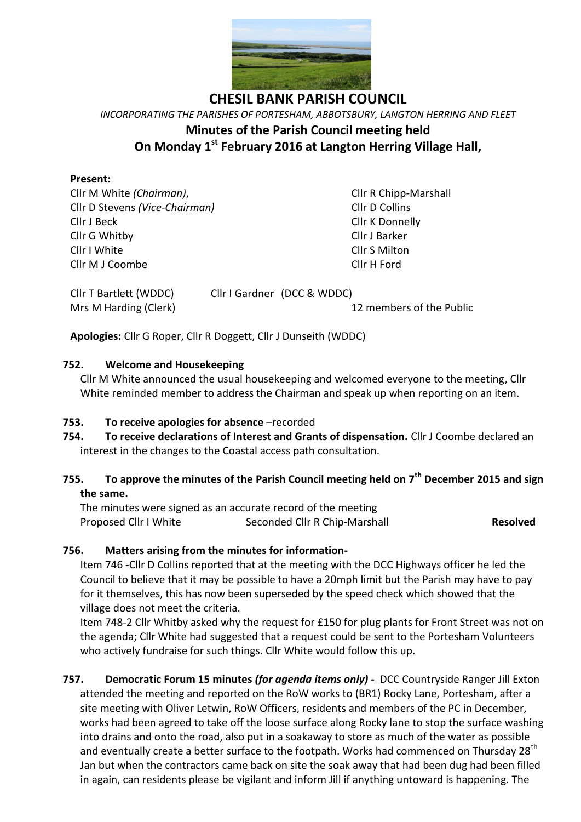

**CHESIL BANK PARISH COUNCIL** *INCORPORATING THE PARISHES OF PORTESHAM, ABBOTSBURY, LANGTON HERRING AND FLEET* **Minutes of the Parish Council meeting held On Monday 1 st February 2016 at Langton Herring Village Hall,**

### **Present:**

Cllr M White *(Chairman)*, Cllr R Chipp-Marshall Cllr D Stevens *(Vice-Chairman)* Cllr D Collins Cllr J Beck Cllr K Donnelly Cllr G Whitby Cllr J Barker Cllr I White Cllr S Milton Cllr M J Coombe Cllr H Ford

Cllr T Bartlett (WDDC) Cllr I Gardner (DCC & WDDC)

Mrs M Harding (Clerk) 12 members of the Public

**Apologies:** Cllr G Roper, Cllr R Doggett, Cllr J Dunseith (WDDC)

### **752. Welcome and Housekeeping**

Cllr M White announced the usual housekeeping and welcomed everyone to the meeting, Cllr White reminded member to address the Chairman and speak up when reporting on an item.

## **753. To receive apologies for absence** –recorded

**754. To receive declarations of Interest and Grants of dispensation.** Cllr J Coombe declared an interest in the changes to the Coastal access path consultation.

# **755. To approve the minutes of the Parish Council meeting held on 7 th December 2015 and sign the same.**

The minutes were signed as an accurate record of the meeting Proposed Cllr I White Seconded Cllr R Chip-Marshall **Resolved** 

## **756. Matters arising from the minutes for information-**

Item 746 -Cllr D Collins reported that at the meeting with the DCC Highways officer he led the Council to believe that it may be possible to have a 20mph limit but the Parish may have to pay for it themselves, this has now been superseded by the speed check which showed that the village does not meet the criteria.

Item 748-2 Cllr Whitby asked why the request for £150 for plug plants for Front Street was not on the agenda; Cllr White had suggested that a request could be sent to the Portesham Volunteers who actively fundraise for such things. Cllr White would follow this up.

**757. Democratic Forum 15 minutes** *(for agenda items only)* **-** DCC Countryside Ranger Jill Exton attended the meeting and reported on the RoW works to (BR1) Rocky Lane, Portesham, after a site meeting with Oliver Letwin, RoW Officers, residents and members of the PC in December, works had been agreed to take off the loose surface along Rocky lane to stop the surface washing into drains and onto the road, also put in a soakaway to store as much of the water as possible and eventually create a better surface to the footpath. Works had commenced on Thursday 28<sup>th</sup> Jan but when the contractors came back on site the soak away that had been dug had been filled in again, can residents please be vigilant and inform Jill if anything untoward is happening. The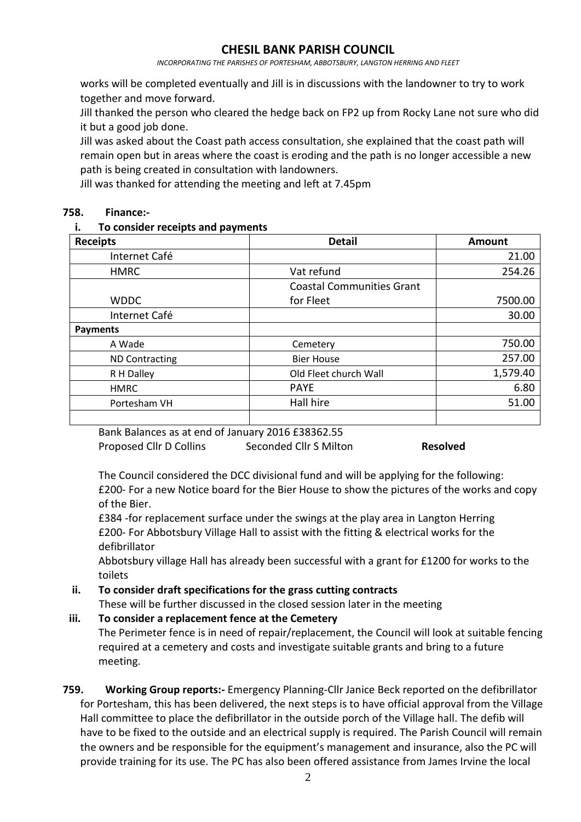*INCORPORATING THE PARISHES OF PORTESHAM, ABBOTSBURY, LANGTON HERRING AND FLEET*

works will be completed eventually and Jill is in discussions with the landowner to try to work together and move forward.

Jill thanked the person who cleared the hedge back on FP2 up from Rocky Lane not sure who did it but a good job done.

Jill was asked about the Coast path access consultation, she explained that the coast path will remain open but in areas where the coast is eroding and the path is no longer accessible a new path is being created in consultation with landowners.

Jill was thanked for attending the meeting and left at 7.45pm

#### **758. Finance:-**

#### **i. To consider receipts and payments**

| <b>Receipts</b>       | <b>Detail</b>                    | Amount   |
|-----------------------|----------------------------------|----------|
| Internet Café         |                                  | 21.00    |
| <b>HMRC</b>           | Vat refund                       | 254.26   |
|                       | <b>Coastal Communities Grant</b> |          |
| <b>WDDC</b>           | for Fleet                        | 7500.00  |
| Internet Café         |                                  | 30.00    |
| <b>Payments</b>       |                                  |          |
| A Wade                | Cemetery                         | 750.00   |
| <b>ND Contracting</b> | <b>Bier House</b>                | 257.00   |
| R H Dalley            | Old Fleet church Wall            | 1,579.40 |
| <b>HMRC</b>           | <b>PAYE</b>                      | 6.80     |
| Portesham VH          | Hall hire                        | 51.00    |
|                       |                                  |          |

Bank Balances as at end of January 2016 £38362.55

Proposed Cllr D Collins Seconded Cllr S Milton **Resolved**

The Council considered the DCC divisional fund and will be applying for the following: £200- For a new Notice board for the Bier House to show the pictures of the works and copy of the Bier.

£384 -for replacement surface under the swings at the play area in Langton Herring £200- For Abbotsbury Village Hall to assist with the fitting & electrical works for the defibrillator

Abbotsbury village Hall has already been successful with a grant for £1200 for works to the toilets

# **ii. To consider draft specifications for the grass cutting contracts**

These will be further discussed in the closed session later in the meeting

## **iii. To consider a replacement fence at the Cemetery**

The Perimeter fence is in need of repair/replacement, the Council will look at suitable fencing required at a cemetery and costs and investigate suitable grants and bring to a future meeting.

## **759. Working Group reports:-** Emergency Planning-Cllr Janice Beck reported on the defibrillator for Portesham, this has been delivered, the next steps is to have official approval from the Village Hall committee to place the defibrillator in the outside porch of the Village hall. The defib will have to be fixed to the outside and an electrical supply is required. The Parish Council will remain the owners and be responsible for the equipment's management and insurance, also the PC will provide training for its use. The PC has also been offered assistance from James Irvine the local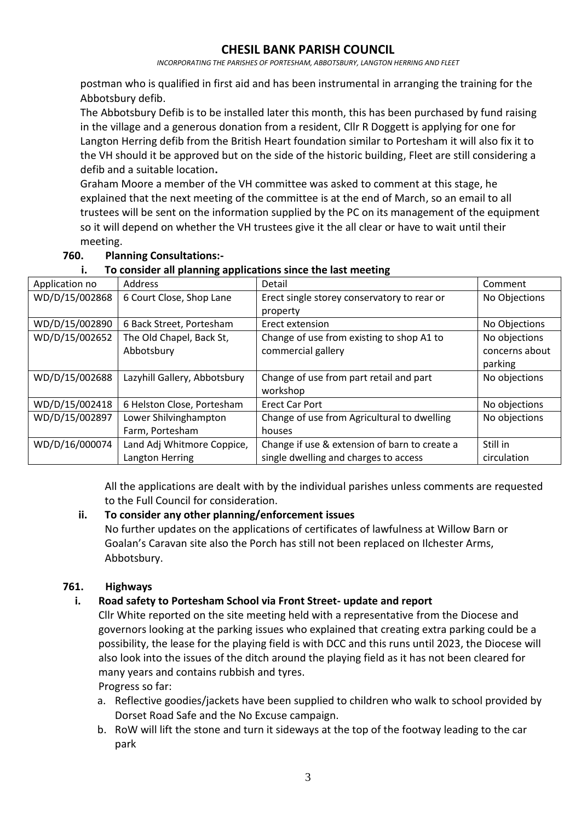*INCORPORATING THE PARISHES OF PORTESHAM, ABBOTSBURY, LANGTON HERRING AND FLEET*

postman who is qualified in first aid and has been instrumental in arranging the training for the Abbotsbury defib.

The Abbotsbury Defib is to be installed later this month, this has been purchased by fund raising in the village and a generous donation from a resident, Cllr R Doggett is applying for one for Langton Herring defib from the British Heart foundation similar to Portesham it will also fix it to the VH should it be approved but on the side of the historic building, Fleet are still considering a defib and a suitable location**.**

Graham Moore a member of the VH committee was asked to comment at this stage, he explained that the next meeting of the committee is at the end of March, so an email to all trustees will be sent on the information supplied by the PC on its management of the equipment so it will depend on whether the VH trustees give it the all clear or have to wait until their meeting.

### **760. Planning Consultations:-**

| ח ה סי         |                              |                                               |                |  |
|----------------|------------------------------|-----------------------------------------------|----------------|--|
| Application no | Address                      | Detail                                        | Comment        |  |
| WD/D/15/002868 | 6 Court Close, Shop Lane     | Erect single storey conservatory to rear or   | No Objections  |  |
|                |                              | property                                      |                |  |
| WD/D/15/002890 | 6 Back Street, Portesham     | Erect extension                               | No Objections  |  |
| WD/D/15/002652 | The Old Chapel, Back St,     | Change of use from existing to shop A1 to     | No objections  |  |
|                | Abbotsbury                   | commercial gallery                            | concerns about |  |
|                |                              |                                               | parking        |  |
| WD/D/15/002688 | Lazyhill Gallery, Abbotsbury | Change of use from part retail and part       | No objections  |  |
|                |                              | workshop                                      |                |  |
| WD/D/15/002418 | 6 Helston Close, Portesham   | <b>Erect Car Port</b>                         | No objections  |  |
| WD/D/15/002897 | Lower Shilvinghampton        | Change of use from Agricultural to dwelling   | No objections  |  |
|                | Farm, Portesham              | houses                                        |                |  |
| WD/D/16/000074 | Land Adj Whitmore Coppice,   | Change if use & extension of barn to create a | Still in       |  |
|                | Langton Herring              | single dwelling and charges to access         | circulation    |  |

### **i. To consider all planning applications since the last meeting**

All the applications are dealt with by the individual parishes unless comments are requested to the Full Council for consideration.

#### **ii. To consider any other planning/enforcement issues**

No further updates on the applications of certificates of lawfulness at Willow Barn or Goalan's Caravan site also the Porch has still not been replaced on Ilchester Arms, Abbotsbury.

## **761. Highways**

## **i. Road safety to Portesham School via Front Street- update and report**

Cllr White reported on the site meeting held with a representative from the Diocese and governors looking at the parking issues who explained that creating extra parking could be a possibility, the lease for the playing field is with DCC and this runs until 2023, the Diocese will also look into the issues of the ditch around the playing field as it has not been cleared for many years and contains rubbish and tyres. Progress so far:

a. Reflective goodies/jackets have been supplied to children who walk to school provided by Dorset Road Safe and the No Excuse campaign.

b. RoW will lift the stone and turn it sideways at the top of the footway leading to the car park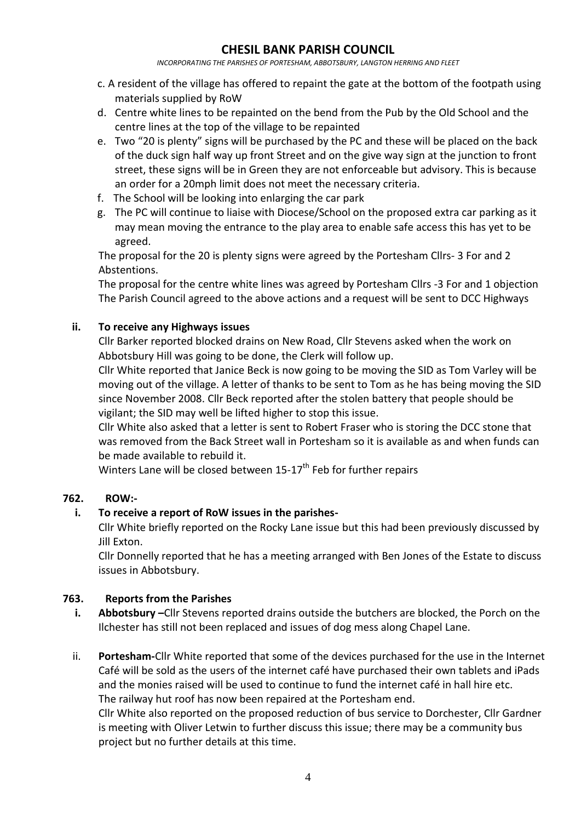*INCORPORATING THE PARISHES OF PORTESHAM, ABBOTSBURY, LANGTON HERRING AND FLEET*

- c. A resident of the village has offered to repaint the gate at the bottom of the footpath using materials supplied by RoW
- d. Centre white lines to be repainted on the bend from the Pub by the Old School and the centre lines at the top of the village to be repainted
- e. Two "20 is plenty" signs will be purchased by the PC and these will be placed on the back of the duck sign half way up front Street and on the give way sign at the junction to front street, these signs will be in Green they are not enforceable but advisory. This is because an order for a 20mph limit does not meet the necessary criteria.
- f. The School will be looking into enlarging the car park
- g. The PC will continue to liaise with Diocese/School on the proposed extra car parking as it may mean moving the entrance to the play area to enable safe access this has yet to be agreed.

The proposal for the 20 is plenty signs were agreed by the Portesham Cllrs- 3 For and 2 Abstentions.

The proposal for the centre white lines was agreed by Portesham Cllrs -3 For and 1 objection The Parish Council agreed to the above actions and a request will be sent to DCC Highways

### **ii. To receive any Highways issues**

Cllr Barker reported blocked drains on New Road, Cllr Stevens asked when the work on Abbotsbury Hill was going to be done, the Clerk will follow up.

Cllr White reported that Janice Beck is now going to be moving the SID as Tom Varley will be moving out of the village. A letter of thanks to be sent to Tom as he has being moving the SID since November 2008. Cllr Beck reported after the stolen battery that people should be vigilant; the SID may well be lifted higher to stop this issue.

Cllr White also asked that a letter is sent to Robert Fraser who is storing the DCC stone that was removed from the Back Street wall in Portesham so it is available as and when funds can be made available to rebuild it.

Winters Lane will be closed between  $15-17$ <sup>th</sup> Feb for further repairs

#### **762. ROW:-**

## **i. To receive a report of RoW issues in the parishes-**

Cllr White briefly reported on the Rocky Lane issue but this had been previously discussed by Jill Exton.

Cllr Donnelly reported that he has a meeting arranged with Ben Jones of the Estate to discuss issues in Abbotsbury.

## **763. Reports from the Parishes**

- **i. Abbotsbury –**Cllr Stevens reported drains outside the butchers are blocked, the Porch on the Ilchester has still not been replaced and issues of dog mess along Chapel Lane.
- ii. **Portesham-**Cllr White reported that some of the devices purchased for the use in the Internet Café will be sold as the users of the internet café have purchased their own tablets and iPads and the monies raised will be used to continue to fund the internet café in hall hire etc. The railway hut roof has now been repaired at the Portesham end.

Cllr White also reported on the proposed reduction of bus service to Dorchester, Cllr Gardner is meeting with Oliver Letwin to further discuss this issue; there may be a community bus project but no further details at this time.